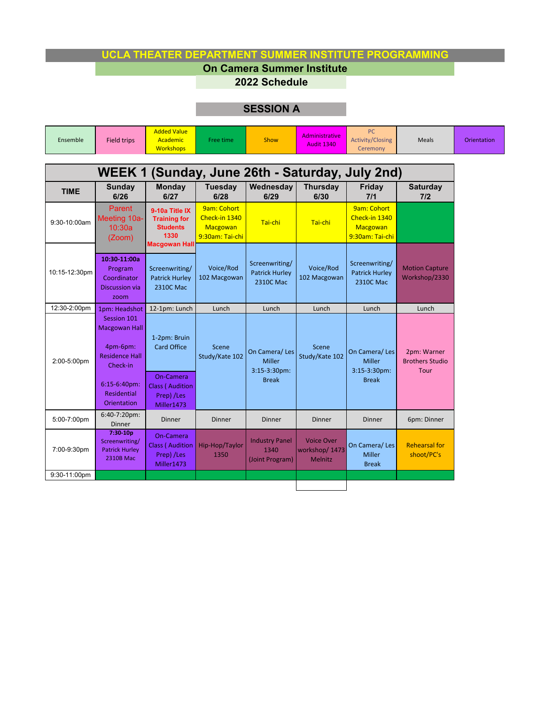## **UCLA THEATER DEPARTMENT SUMMER INSTITUTE PROGRAMMING**

## **On Camera Summer Institute**

**2022 Schedule**

## **SESSION A**

| Ensemble                                        | <b>Field trips</b>                                                                                                  | <b>Added Value</b><br>Academic<br><b>Workshops</b>                                       | Free time                                                   | Show                                                              | Administrative<br><b>Audit 1340</b>                  | PC<br><b>Activity/Closing</b><br>Ceremony                      | <b>Meals</b>                                  | Orientation |  |  |  |  |  |
|-------------------------------------------------|---------------------------------------------------------------------------------------------------------------------|------------------------------------------------------------------------------------------|-------------------------------------------------------------|-------------------------------------------------------------------|------------------------------------------------------|----------------------------------------------------------------|-----------------------------------------------|-------------|--|--|--|--|--|
| WEEK 1 (Sunday, June 26th - Saturday, July 2nd) |                                                                                                                     |                                                                                          |                                                             |                                                                   |                                                      |                                                                |                                               |             |  |  |  |  |  |
| <b>TIME</b>                                     | Sunday<br>6/26                                                                                                      | <b>Monday</b><br>6/27                                                                    | <b>Tuesday</b><br>6/28                                      | Wednesday<br>6/29                                                 | <b>Thursday</b><br>6/30                              | Friday<br>7/1                                                  | <b>Saturday</b><br>7/2                        |             |  |  |  |  |  |
| 9:30-10:00am                                    | <b>Parent</b><br>Meeting 10a-<br>10:30a<br>(Zoom)                                                                   | 9-10a Title IX<br><b>Training for</b><br><b>Students</b><br>1330<br><b>Macgowan Hall</b> | 9am: Cohort<br>Check-in 1340<br>Macgowan<br>9:30am: Tai-chi | Tai-chi                                                           | Tai-chi                                              | 9am: Cohort<br>Check-in 1340<br>Macgowan<br>9:30am: Tai-chi    |                                               |             |  |  |  |  |  |
| 10:15-12:30pm                                   | 10:30-11:00a<br>Program<br>Coordinator<br><b>Discussion via</b><br>zoom                                             | Screenwriting/<br><b>Patrick Hurley</b><br>2310C Mac                                     | Voice/Rod<br>102 Macgowan                                   | Screenwriting/<br><b>Patrick Hurley</b><br>2310C Mac              | Voice/Rod<br>102 Macgowan                            | Screenwriting/<br><b>Patrick Hurley</b><br>2310C Mac           | <b>Motion Capture</b><br>Workshop/2330        |             |  |  |  |  |  |
| 12:30-2:00pm                                    | 1pm: Headshot                                                                                                       | 12-1pm: Lunch                                                                            | Lunch                                                       | Lunch                                                             | Lunch                                                | Lunch                                                          | Lunch                                         |             |  |  |  |  |  |
| 2:00-5:00pm                                     | Session 101<br><b>Macgowan Hall</b><br>4pm-6pm:<br><b>Residence Hall</b><br>Check-in<br>6:15-6:40pm:<br>Residential | 1-2pm: Bruin<br><b>Card Office</b><br>On-Camera<br><b>Class ( Audition</b><br>Prep) /Les | Scene<br>Study/Kate 102                                     | On Camera/Les<br><b>Miller</b><br>$3:15-3:30$ pm:<br><b>Break</b> | Scene<br>Study/Kate 102                              | On Camera/Les<br><b>Miller</b><br>3:15-3:30pm:<br><b>Break</b> | 2pm: Warner<br><b>Brothers Studio</b><br>Tour |             |  |  |  |  |  |
|                                                 | Orientation                                                                                                         | Miller1473                                                                               |                                                             |                                                                   |                                                      |                                                                |                                               |             |  |  |  |  |  |
| 5:00-7:00pm                                     | $6:40-7:20 \text{pm}$ :<br>Dinner                                                                                   | <b>Dinner</b>                                                                            | <b>Dinner</b>                                               | <b>Dinner</b>                                                     | Dinner                                               | Dinner                                                         | 6pm: Dinner                                   |             |  |  |  |  |  |
| 7:00-9:30pm                                     | 7:30-10p<br>Screenwriting/<br><b>Patrick Hurley</b><br><b>2310B Mac</b>                                             | On-Camera<br><b>Class ( Audition</b><br>Prep) /Les<br>Miller1473                         | Hip-Hop/Taylor<br>1350                                      | <b>Industry Panel</b><br>1340<br>(Joint Program)                  | <b>Voice Over</b><br>workshop/1473<br><b>Melnitz</b> | On Camera/Les<br>Miller<br><b>Break</b>                        | <b>Rehearsal for</b><br>shoot/PC's            |             |  |  |  |  |  |
| 9:30-11:00pm                                    |                                                                                                                     |                                                                                          |                                                             |                                                                   |                                                      |                                                                |                                               |             |  |  |  |  |  |
|                                                 |                                                                                                                     |                                                                                          |                                                             |                                                                   |                                                      |                                                                |                                               |             |  |  |  |  |  |